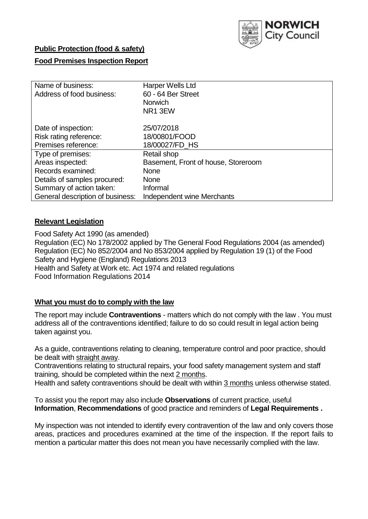

### **Public Protection (food & safety)**

### **Food Premises Inspection Report**

| Name of business:                | Harper Wells Ltd                    |
|----------------------------------|-------------------------------------|
| Address of food business:        | 60 - 64 Ber Street                  |
|                                  | <b>Norwich</b>                      |
|                                  | NR1 3EW                             |
| Date of inspection:              | 25/07/2018                          |
| Risk rating reference:           | 18/00801/FOOD                       |
| Premises reference:              | 18/00027/FD_HS                      |
| Type of premises:                | Retail shop                         |
| Areas inspected:                 | Basement, Front of house, Storeroom |
| Records examined:                | <b>None</b>                         |
| Details of samples procured:     | <b>None</b>                         |
| Summary of action taken:         | Informal                            |
| General description of business: | Independent wine Merchants          |

### **Relevant Legislation**

Food Safety Act 1990 (as amended) Regulation (EC) No 178/2002 applied by The General Food Regulations 2004 (as amended) Regulation (EC) No 852/2004 and No 853/2004 applied by Regulation 19 (1) of the Food Safety and Hygiene (England) Regulations 2013 Health and Safety at Work etc. Act 1974 and related regulations Food Information Regulations 2014

### **What you must do to comply with the law**

The report may include **Contraventions** - matters which do not comply with the law . You must address all of the contraventions identified; failure to do so could result in legal action being taken against you.

As a guide, contraventions relating to cleaning, temperature control and poor practice, should be dealt with straight away.

Contraventions relating to structural repairs, your food safety management system and staff training, should be completed within the next 2 months.

Health and safety contraventions should be dealt with within 3 months unless otherwise stated.

To assist you the report may also include **Observations** of current practice, useful **Information**, **Recommendations** of good practice and reminders of **Legal Requirements .**

My inspection was not intended to identify every contravention of the law and only covers those areas, practices and procedures examined at the time of the inspection. If the report fails to mention a particular matter this does not mean you have necessarily complied with the law.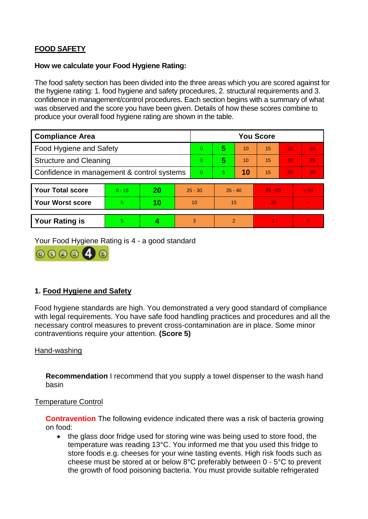# **FOOD SAFETY**

#### **How we calculate your Food Hygiene Rating:**

The food safety section has been divided into the three areas which you are scored against for the hygiene rating: 1. food hygiene and safety procedures, 2. structural requirements and 3. confidence in management/control procedures. Each section begins with a summary of what was observed and the score you have been given. Details of how these scores combine to produce your overall food hygiene rating are shown in the table.

| <b>Compliance Area</b>                     |          |    |           | <b>You Score</b> |                |    |           |    |          |  |  |
|--------------------------------------------|----------|----|-----------|------------------|----------------|----|-----------|----|----------|--|--|
| Food Hygiene and Safety                    |          |    |           | $\Omega$         | 5              | 10 | 15        | 20 | 25       |  |  |
| <b>Structure and Cleaning</b>              |          |    |           | $\Omega$         | 5              | 10 | 15        | 20 | 25       |  |  |
| Confidence in management & control systems |          |    |           | $\Omega$         | 5              | 10 | 15        | 20 | 30       |  |  |
|                                            |          |    |           |                  |                |    |           |    |          |  |  |
| <b>Your Total score</b>                    | $0 - 15$ | 20 | $25 - 30$ |                  | $35 - 40$      |    | $45 - 50$ |    | > 50     |  |  |
| <b>Your Worst score</b>                    | 5        | 10 | 10        |                  | 15             |    | 20        |    |          |  |  |
|                                            |          |    |           |                  |                |    |           |    |          |  |  |
| <b>Your Rating is</b>                      | 5        |    |           | 3                | $\overline{2}$ |    |           |    | $\Omega$ |  |  |

Your Food Hygiene Rating is 4 - a good standard



## **1. Food Hygiene and Safety**

Food hygiene standards are high. You demonstrated a very good standard of compliance with legal requirements. You have safe food handling practices and procedures and all the necessary control measures to prevent cross-contamination are in place. Some minor contraventions require your attention. **(Score 5)**

### Hand-washing

**Recommendation** I recommend that you supply a towel dispenser to the wash hand basin

#### Temperature Control

**Contravention** The following evidence indicated there was a risk of bacteria growing on food:

• the glass door fridge used for storing wine was being used to store food, the temperature was reading 13°C. You informed me that you used this fridge to store foods e.g. cheeses for your wine tasting events. High risk foods such as cheese must be stored at or below 8°C preferably between 0 - 5°C to prevent the growth of food poisoning bacteria. You must provide suitable refrigerated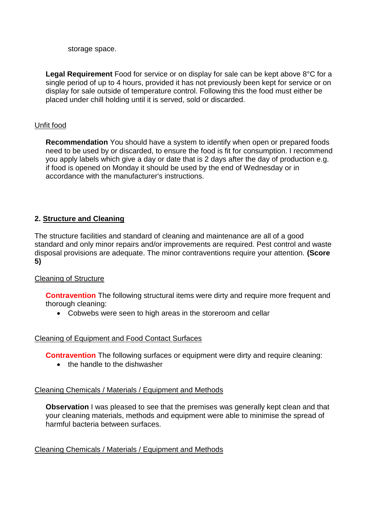storage space.

**Legal Requirement** Food for service or on display for sale can be kept above 8°C for a single period of up to 4 hours, provided it has not previously been kept for service or on display for sale outside of temperature control. Following this the food must either be placed under chill holding until it is served, sold or discarded.

### Unfit food

**Recommendation** You should have a system to identify when open or prepared foods need to be used by or discarded, to ensure the food is fit for consumption. I recommend you apply labels which give a day or date that is 2 days after the day of production e.g. if food is opened on Monday it should be used by the end of Wednesday or in accordance with the manufacturer's instructions.

# **2. Structure and Cleaning**

The structure facilities and standard of cleaning and maintenance are all of a good standard and only minor repairs and/or improvements are required. Pest control and waste disposal provisions are adequate. The minor contraventions require your attention. **(Score 5)**

## Cleaning of Structure

**Contravention** The following structural items were dirty and require more frequent and thorough cleaning:

Cobwebs were seen to high areas in the storeroom and cellar

### Cleaning of Equipment and Food Contact Surfaces

**Contravention** The following surfaces or equipment were dirty and require cleaning:

• the handle to the dishwasher

### Cleaning Chemicals / Materials / Equipment and Methods

**Observation** I was pleased to see that the premises was generally kept clean and that your cleaning materials, methods and equipment were able to minimise the spread of harmful bacteria between surfaces.

### Cleaning Chemicals / Materials / Equipment and Methods